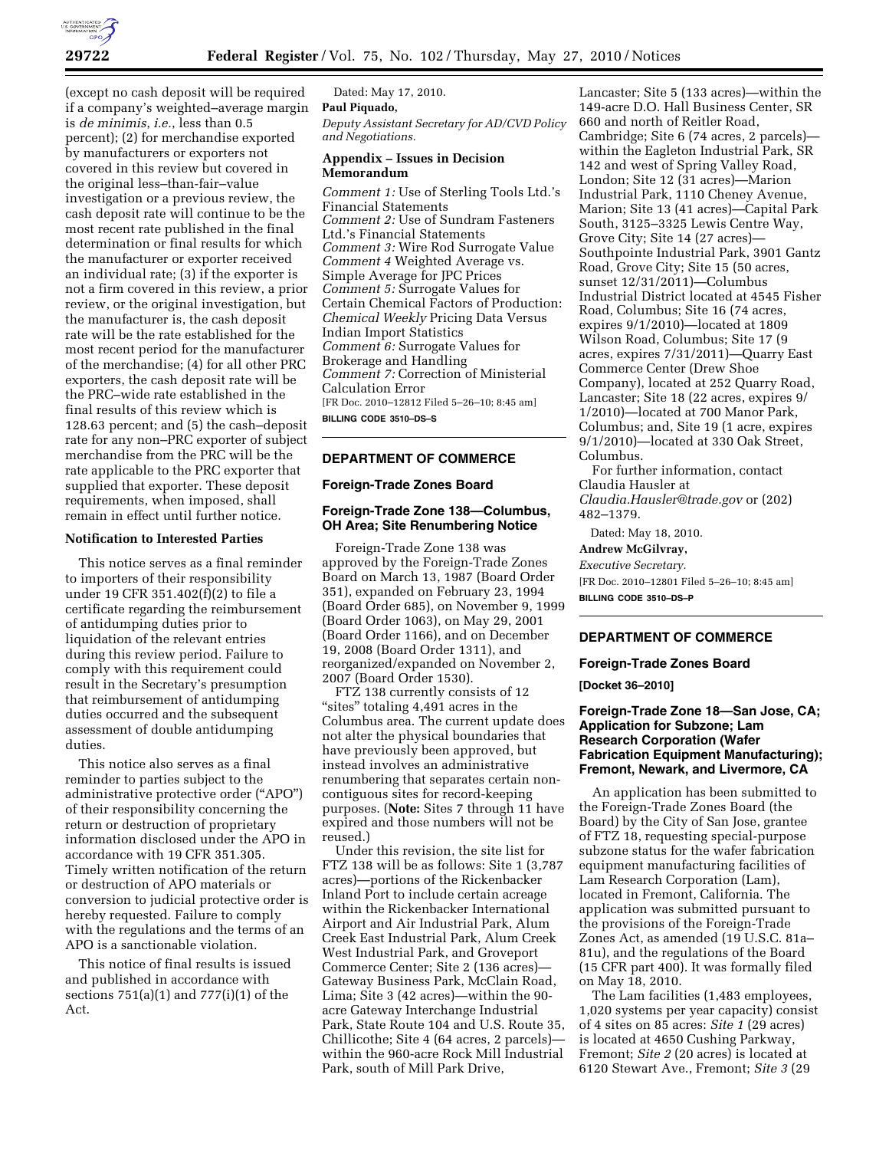

(except no cash deposit will be required if a company's weighted–average margin is *de minimis*, *i.e.*, less than 0.5 percent); (2) for merchandise exported by manufacturers or exporters not covered in this review but covered in the original less–than-fair–value investigation or a previous review, the cash deposit rate will continue to be the most recent rate published in the final determination or final results for which the manufacturer or exporter received an individual rate; (3) if the exporter is not a firm covered in this review, a prior review, or the original investigation, but the manufacturer is, the cash deposit rate will be the rate established for the most recent period for the manufacturer of the merchandise; (4) for all other PRC exporters, the cash deposit rate will be the PRC–wide rate established in the final results of this review which is 128.63 percent; and (5) the cash–deposit rate for any non–PRC exporter of subject merchandise from the PRC will be the rate applicable to the PRC exporter that supplied that exporter. These deposit requirements, when imposed, shall remain in effect until further notice.

### **Notification to Interested Parties**

This notice serves as a final reminder to importers of their responsibility under 19 CFR 351.402(f)(2) to file a certificate regarding the reimbursement of antidumping duties prior to liquidation of the relevant entries during this review period. Failure to comply with this requirement could result in the Secretary's presumption that reimbursement of antidumping duties occurred and the subsequent assessment of double antidumping duties.

This notice also serves as a final reminder to parties subject to the administrative protective order (''APO'') of their responsibility concerning the return or destruction of proprietary information disclosed under the APO in accordance with 19 CFR 351.305. Timely written notification of the return or destruction of APO materials or conversion to judicial protective order is hereby requested. Failure to comply with the regulations and the terms of an APO is a sanctionable violation.

This notice of final results is issued and published in accordance with sections 751(a)(1) and 777(i)(1) of the Act.

Dated: May 17, 2010. **Paul Piquado,**  *Deputy Assistant Secretary for AD/CVD Policy and Negotiations.* 

# **Appendix – Issues in Decision Memorandum**

*Comment 1:* Use of Sterling Tools Ltd.'s Financial Statements *Comment 2:* Use of Sundram Fasteners Ltd.'s Financial Statements *Comment 3:* Wire Rod Surrogate Value *Comment 4* Weighted Average vs. Simple Average for JPC Prices *Comment 5:* Surrogate Values for Certain Chemical Factors of Production: *Chemical Weekly* Pricing Data Versus Indian Import Statistics *Comment 6:* Surrogate Values for Brokerage and Handling *Comment 7:* Correction of Ministerial Calculation Error [FR Doc. 2010–12812 Filed 5–26–10; 8:45 am]

**BILLING CODE 3510–DS–S** 

#### **DEPARTMENT OF COMMERCE**

# **Foreign-Trade Zones Board**

## **Foreign-Trade Zone 138—Columbus, OH Area; Site Renumbering Notice**

Foreign-Trade Zone 138 was approved by the Foreign-Trade Zones Board on March 13, 1987 (Board Order 351), expanded on February 23, 1994 (Board Order 685), on November 9, 1999 (Board Order 1063), on May 29, 2001 (Board Order 1166), and on December 19, 2008 (Board Order 1311), and reorganized/expanded on November 2, 2007 (Board Order 1530).

FTZ 138 currently consists of 12 "sites" totaling 4,491 acres in the Columbus area. The current update does not alter the physical boundaries that have previously been approved, but instead involves an administrative renumbering that separates certain noncontiguous sites for record-keeping purposes. (**Note:** Sites 7 through 11 have expired and those numbers will not be reused.)

Under this revision, the site list for FTZ 138 will be as follows: Site 1 (3,787 acres)—portions of the Rickenbacker Inland Port to include certain acreage within the Rickenbacker International Airport and Air Industrial Park, Alum Creek East Industrial Park, Alum Creek West Industrial Park, and Groveport Commerce Center; Site 2 (136 acres)— Gateway Business Park, McClain Road, Lima; Site 3 (42 acres)—within the 90 acre Gateway Interchange Industrial Park, State Route 104 and U.S. Route 35, Chillicothe; Site 4 (64 acres, 2 parcels) within the 960-acre Rock Mill Industrial Park, south of Mill Park Drive,

Lancaster; Site 5 (133 acres)—within the 149-acre D.O. Hall Business Center, SR 660 and north of Reitler Road, Cambridge; Site 6 (74 acres, 2 parcels) within the Eagleton Industrial Park, SR 142 and west of Spring Valley Road, London; Site 12 (31 acres)—Marion Industrial Park, 1110 Cheney Avenue, Marion; Site 13 (41 acres)—Capital Park South, 3125–3325 Lewis Centre Way, Grove City; Site 14 (27 acres)— Southpointe Industrial Park, 3901 Gantz Road, Grove City; Site 15 (50 acres, sunset 12/31/2011)—Columbus Industrial District located at 4545 Fisher Road, Columbus; Site 16 (74 acres, expires 9/1/2010)—located at 1809 Wilson Road, Columbus; Site 17 (9 acres, expires 7/31/2011)—Quarry East Commerce Center (Drew Shoe Company), located at 252 Quarry Road, Lancaster; Site 18 (22 acres, expires 9/ 1/2010)—located at 700 Manor Park, Columbus; and, Site 19 (1 acre, expires 9/1/2010)—located at 330 Oak Street, Columbus.

For further information, contact Claudia Hausler at *Claudia.Hausler@trade.gov* or (202) 482–1379.

Dated: May 18, 2010.

# **Andrew McGilvray,**

*Executive Secretary.*  [FR Doc. 2010–12801 Filed 5–26–10; 8:45 am]

**BILLING CODE 3510–DS–P** 

### **DEPARTMENT OF COMMERCE**

#### **Foreign-Trade Zones Board**

**[Docket 36–2010]** 

### **Foreign-Trade Zone 18—San Jose, CA; Application for Subzone; Lam Research Corporation (Wafer Fabrication Equipment Manufacturing); Fremont, Newark, and Livermore, CA**

An application has been submitted to the Foreign-Trade Zones Board (the Board) by the City of San Jose, grantee of FTZ 18, requesting special-purpose subzone status for the wafer fabrication equipment manufacturing facilities of Lam Research Corporation (Lam), located in Fremont, California. The application was submitted pursuant to the provisions of the Foreign-Trade Zones Act, as amended (19 U.S.C. 81a– 81u), and the regulations of the Board (15 CFR part 400). It was formally filed on May 18, 2010.

The Lam facilities (1,483 employees, 1,020 systems per year capacity) consist of 4 sites on 85 acres: *Site 1* (29 acres) is located at 4650 Cushing Parkway, Fremont; *Site 2* (20 acres) is located at 6120 Stewart Ave., Fremont; *Site 3* (29